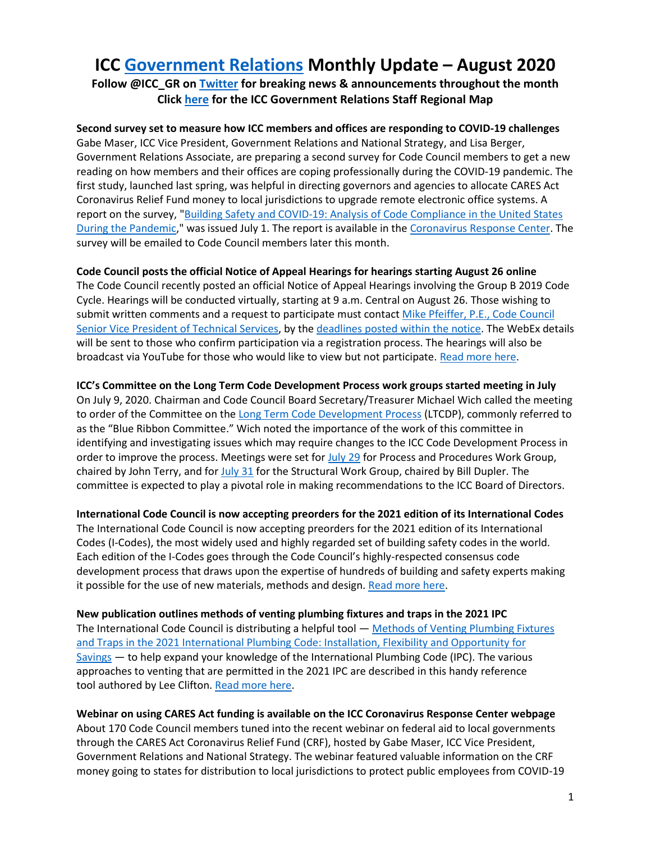# **ICC [Government Relations](https://www.iccsafe.org/about-icc/government-relations/) Monthly Update – August 2020**

**Follow @ICC\_GR on [Twitter](https://twitter.com/ICC_GR) for breaking news & announcements throughout the month Clic[k here](https://www.iccsafe.org/wp-content/uploads/20-18813_GR_Field_Team_Territory_Map_Update_v3.pdf) for the ICC Government Relations Staff Regional Map**

**Second survey set to measure how ICC members and offices are responding to COVID-19 challenges** Gabe Maser, ICC Vice President, Government Relations and National Strategy, and Lisa Berger, Government Relations Associate, are preparing a second survey for Code Council members to get a new reading on how members and their offices are coping professionally during the COVID-19 pandemic. The first study, launched last spring, was helpful in directing governors and agencies to allocate CARES Act Coronavirus Relief Fund money to local jurisdictions to upgrade remote electronic office systems. A report on the survey, ["Building Safety and COVID-19: Analysis of Code Compliance in the United States](https://www.iccsafe.org/wp-content/uploads/20-18952_GR_Survey_Analysis_RPT_FINAL_HIRES.pdf)  [During the Pandemic,](https://www.iccsafe.org/wp-content/uploads/20-18952_GR_Survey_Analysis_RPT_FINAL_HIRES.pdf)" was issued July 1. The report is available in th[e Coronavirus Response Center.](https://www.iccsafe.org/advocacy/coronavirus-response-center/survey/) The survey will be emailed to Code Council members later this month.

## **Code Council posts the official Notice of Appeal Hearings for hearings starting August 26 online**

The Code Council recently posted an official Notice of Appeal Hearings involving the Group B 2019 Code Cycle. Hearings will be conducted virtually, starting at 9 a.m. Central on August 26. Those wishing to submit written comments and a request to participate must contact Mike Pfeiffer, P.E., Code Council [Senior Vice President of Technical Services,](mailto:mpfeiffer@iccsafe.org) by th[e deadlines posted within the notice.](https://www.iccsafe.org/wp-content/uploads/20-19048_CORP_ICC_Pulse_Notice_of_Appeals_Hearing_FLR_v1.pdf?utm_source=magnetmail&utm_medium=email&utm_content=INSERT_MESSAGE_NAME&utm_campaign=INSERT_MESSAGE_CATEGORY_NAME) The WebEx details will be sent to those who confirm participation via a registration process. The hearings will also be broadcast via YouTube for those who would like to view but not participate. [Read more here.](https://www.iccsafe.org/about/2019-group-b-code-cycle-notice-of-appeal-hearings/)

**ICC's Committee on the Long Term Code Development Process work groups started meeting in July** On July 9, 2020. Chairman and Code Council Board Secretary/Treasurer Michael Wich called the meeting to order of the Committee on the [Long Term Code Development Process](https://www.iccsafe.org/products-and-services/i-codes/code-development/cs/board-committee-on-long-term-code-development-process/) (LTCDP), commonly referred to as the "Blue Ribbon Committee." Wich noted the importance of the work of this committee in identifying and investigating issues which may require changes to the ICC Code Development Process in order to improve the process. Meetings were set fo[r July 29](https://www.iccsafe.org/wp-content/uploads/ltcdp/LTCDP_PP-WG-_7_29_20_agenda.pdf) for Process and Procedures Work Group, chaired by John Terry, and for [July 31](https://www.iccsafe.org/wp-content/uploads/ltcdp/LTCDP_Struct-WG-_7_31_20_agenda.pdf) for the Structural Work Group, chaired by Bill Dupler. The committee is expected to play a pivotal role in making recommendations to the ICC Board of Directors.

**International Code Council is now accepting preorders for the 2021 edition of its International Codes** The International Code Council is now accepting preorders for the 2021 edition of its International Codes (I-Codes), the most widely used and highly regarded set of building safety codes in the world. Each edition of the I-Codes goes through the Code Council's highly-respected consensus code development process that draws upon the expertise of hundreds of building and safety experts making it possible for the use of new materials, methods and design. [Read more here.](https://www.iccsafe.org/about/periodicals-and-newsroom/media-alert-preorder-for-international-code-councils-2021-i-codes-now-available/?utm_source=magnetmail&utm_medium=email&utm_content=200806%2Dbsj%2Dp1&utm_campaign=bsj)

**New publication outlines methods of venting plumbing fixtures and traps in the 2021 IPC** The International Code Council is distributing a helpful tool - Methods of Venting Plumbing Fixtures [and Traps in the 2021 International Plumbing Code: Installation, Flexibility and Opportunity for](https://www.iccsafe.org/wp-content/uploads/20-18927_GR_2021_Plumbing_Venting_Brochure.pdf)  [Savings](https://www.iccsafe.org/wp-content/uploads/20-18927_GR_2021_Plumbing_Venting_Brochure.pdf) — to help expand your knowledge of the International Plumbing Code (IPC). The various approaches to venting that are permitted in the 2021 IPC are described in this handy reference tool authored by Lee Clifton. [Read more here.](https://www.iccsafe.org/building-safety-journal/bsj-technical/methods-of-venting-plumbing-fixtures-and-traps-in-the-2021-international-plumbing-code/?utm_source=magnetmail&utm_medium=email&utm_content=200806%2Dbsj%2Dp1&utm_campaign=bsj)

**Webinar on using CARES Act funding is available on the ICC Coronavirus Response Center webpage** About 170 Code Council members tuned into the recent webinar on federal aid to local governments through the CARES Act Coronavirus Relief Fund (CRF), hosted by Gabe Maser, ICC Vice President, Government Relations and National Strategy. The webinar featured valuable information on the CRF money going to states for distribution to local jurisdictions to protect public employees from COVID-19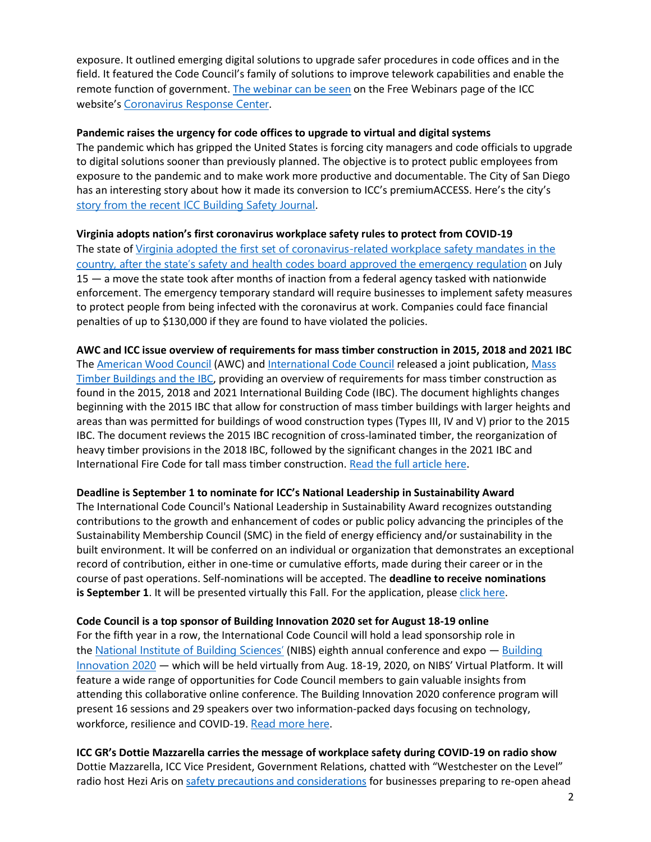exposure. It outlined emerging digital solutions to upgrade safer procedures in code offices and in the field. It featured the Code Council's family of solutions to improve telework capabilities and enable the remote function of government. [The webinar can be seen](https://register.gotowebinar.com/register/6323013603415079693) on the Free Webinars page of the ICC website's [Coronavirus Response Center](https://www.iccsafe.org/advocacy/coronavirus-response-center/).

#### **Pandemic raises the urgency for code offices to upgrade to virtual and digital systems**

The pandemic which has gripped the United States is forcing city managers and code officials to upgrade to digital solutions sooner than previously planned. The objective is to protect public employees from exposure to the pandemic and to make work more productive and documentable. The City of San Diego has an interesting story about how it made its conversion to ICC's premiumACCESS. Here's the city's [story from the recent ICC Building Safety Journal](https://www.iccsafe.org/building-safety-journal/bsj-perspectives/pandemic-or-no-san-diego-sees-premiumaccess-as-the-wave-of-the-near-future/).

### **Virginia adopts nation's first coronavirus workplace safety rules to protect from COVID-19**

The state of [Virginia adopted the first set of coronavirus-related workplace safety mandates in the](https://protect-us.mimecast.com/s/quOqCxkmPQU9RARHv7UmpR?domain=send.iccsafe.org)  [country, after the state's safety and health codes board appro](https://protect-us.mimecast.com/s/quOqCxkmPQU9RARHv7UmpR?domain=send.iccsafe.org)ved the emergency regulation on July 15 — a move the state took after months of inaction from a federal agency tasked with nationwide enforcement. The emergency temporary standard will require businesses to implement safety measures to protect people from being infected with the coronavirus at work. Companies could face financial penalties of up to \$130,000 if they are found to have violated the policies.

**AWC and ICC issue overview of requirements for mass timber construction in 2015, 2018 and 2021 IBC** The [American Wood Council](https://protect-us.mimecast.com/s/4EREC2kE36U6KpgSrbxf-?domain=send.iccsafe.org) (AWC) and [International Code Council](https://protect-us.mimecast.com/s/7H5mC31G47ix7pOIl5ZSy?domain=send.iccsafe.org) released a joint publication, [Mass](https://protect-us.mimecast.com/s/Qqg7C4xJ5gS6YBqSrb6wx?domain=send.iccsafe.org)  [Timber Buildings and the IBC,](https://protect-us.mimecast.com/s/Qqg7C4xJ5gS6YBqSrb6wx?domain=send.iccsafe.org) providing an overview of requirements for mass timber construction as found in the 2015, 2018 and 2021 International Building Code (IBC). The document highlights changes beginning with the 2015 IBC that allow for construction of mass timber buildings with larger heights and areas than was permitted for buildings of wood construction types (Types III, IV and V) prior to the 2015 IBC. The document reviews the 2015 IBC recognition of cross-laminated timber, the reorganization of heavy timber provisions in the 2018 IBC, followed by the significant changes in the 2021 IBC and International Fire Code for tall mass timber construction. [Read the full article here.](https://www.iccsafe.org/about/periodicals-and-newsroom/awc-and-icc-release-mass-timber-buildings-and-the-ibc/)

#### **Deadline is September 1 to nominate for ICC's National Leadership in Sustainability Award**

The International Code Council's National Leadership in Sustainability Award recognizes outstanding contributions to the growth and enhancement of codes or public policy advancing the principles of the Sustainability Membership Council (SMC) in the field of energy efficiency and/or sustainability in the built environment. It will be conferred on an individual or organization that demonstrates an exceptional record of contribution, either in one-time or cumulative efforts, made during their career or in the course of past operations. Self-nominations will be accepted. The **deadline to receive nominations is September 1.** It will be presented virtually this Fall. For the application, pleas[e click here.](https://protect-us.mimecast.com/s/-1uYCYER24sNxwKirBSUQ?domain=send.iccsafe.org)

#### **Code Council is a top sponsor of Building Innovation 2020 set for August 18-19 online**

For the fifth year in a row, the International Code Council will hold a lead sponsorship role in the [National Institute of Building Sciences'](https://www.nibs.org/) (NIBS) eighth annual conference and expo - Building [Innovation 2020](https://www.buildinginnovation.org/) — which will be held virtually from Aug. 18-19, 2020, on NIBS' Virtual Platform. It will feature a wide range of opportunities for Code Council members to gain valuable insights from attending this collaborative online conference. The Building Innovation 2020 conference program will present 16 sessions and 29 speakers over two information-packed days focusing on technology, workforce, resilience and COVID-19. [Read more here](https://www.iccsafe.org/building-safety-journal/bsj-hits/code-council-is-a-top-sponsor-of-building-innovation-2020-2/?utm_source=magnetmail&utm_medium=email&utm_content=200723%2Dbsj%2Df&utm_campaign=bsj).

**ICC GR's Dottie Mazzarella carries the message of workplace safety during COVID-19 on radio show** Dottie Mazzarella, ICC Vice President, Government Relations, chatted with "Westchester on the Level" radio host Hezi Aris on [safety precautions and considerations](https://www.iccsafe.org/advocacy/coronavirus-response-center/) for businesses preparing to re-open ahead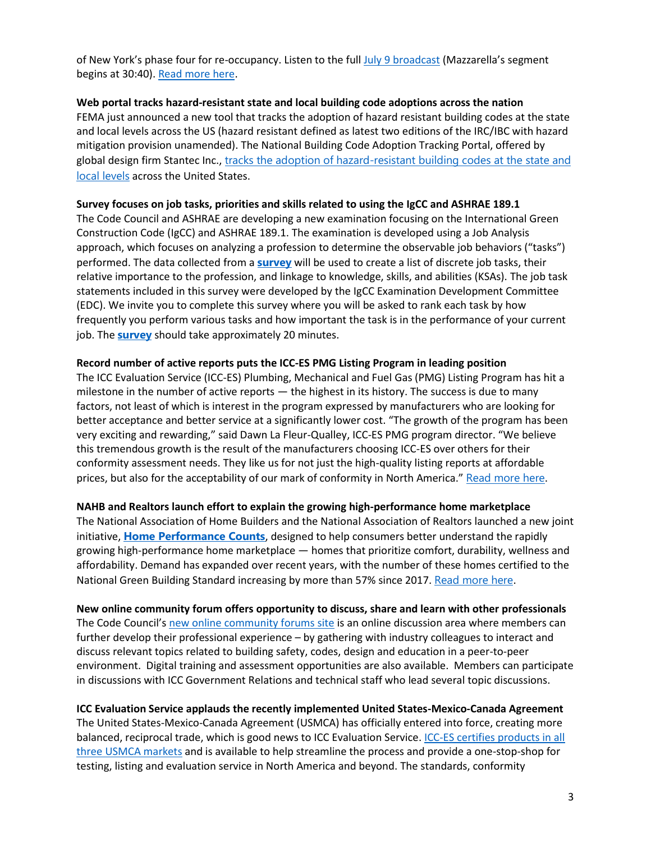of New York's phase four for re-occupancy. Listen to the full [July 9 broadcast](https://www.blogtalkradio.com/westchesteronthelevel/2020/07/09/westchester-on-the-level) (Mazzarella's segment begins at 30:40). [Read more here.](https://www.iccsafe.org/building-safety-journal/bsj-perspectives/code-councils-coronavirus-response-resources-featured-on-westchester-on-the-level-broadcast/?utm_source=magnetmail&utm_medium=email&utm_content=200716%2Dbsj%2Df&utm_campaign=bsj)

## **Web portal tracks hazard-resistant state and local building code adoptions across the nation**

FEMA just announced a new tool that tracks the adoption of hazard resistant building codes at the state and local levels across the US (hazard resistant defined as latest two editions of the IRC/IBC with hazard mitigation provision unamended). The National Building Code Adoption Tracking Portal, offered by global design firm Stantec Inc., [tracks the adoption of hazard-resistant building codes](https://protect-us.mimecast.com/s/duFlCNkRNPUEPBPH4Khqb1?domain=send.iccsafe.org) at the state and [local levels](https://protect-us.mimecast.com/s/duFlCNkRNPUEPBPH4Khqb1?domain=send.iccsafe.org) across the United States.

## **Survey focuses on job tasks, priorities and skills related to using the IgCC and ASHRAE 189.1**

The Code Council and ASHRAE are developing a new examination focusing on the International Green Construction Code (IgCC) and ASHRAE 189.1. The examination is developed using a Job Analysis approach, which focuses on analyzing a profession to determine the observable job behaviors ("tasks") performed. The data collected from a **[survey](https://protect-us.mimecast.com/s/N4CzC73kjlSQRVjuP7jQP?domain=send.iccsafe.org)** will be used to create a list of discrete job tasks, their relative importance to the profession, and linkage to knowledge, skills, and abilities (KSAs). The job task statements included in this survey were developed by the IgCC Examination Development Committee (EDC). We invite you to complete this survey where you will be asked to rank each task by how frequently you perform various tasks and how important the task is in the performance of your current job. The **[survey](https://protect-us.mimecast.com/s/N4CzC73kjlSQRVjuP7jQP?domain=send.iccsafe.org)** should take approximately 20 minutes.

## **Record number of active reports puts the ICC-ES PMG Listing Program in leading position**

The ICC Evaluation Service (ICC-ES) Plumbing, Mechanical and Fuel Gas (PMG) Listing Program has hit a milestone in the number of active reports — the highest in its history. The success is due to many factors, not least of which is interest in the program expressed by manufacturers who are looking for better acceptance and better service at a significantly lower cost. "The growth of the program has been very exciting and rewarding," said Dawn La Fleur-Qualley, ICC-ES PMG program director. "We believe this tremendous growth is the result of the manufacturers choosing ICC-ES over others for their conformity assessment needs. They like us for not just the high-quality listing reports at affordable prices, but also for the acceptability of our mark of conformity in North America." [Read more here](https://www.iccsafe.org/building-safety-journal/bsj-hits/record-number-of-active-reports-puts-icc-es-pmg-in-leading-position/?utm_source=magnetmail&utm_medium=email&utm_content=200730%2Dbsj%2Dp1&utm_campaign=bsj).

## **NAHB and Realtors launch effort to explain the growing high-performance home marketplace**

The National Association of Home Builders and the National Association of Realtors launched a new joint initiative, **[Home Performance Counts](http://www.homeperformancecounts.info/)**, designed to help consumers better understand the rapidly growing high-performance home marketplace — homes that prioritize comfort, durability, wellness and affordability. Demand has expanded over recent years, with the number of these homes certified to the National Green Building Standard increasing by more than 57% since 2017. [Read more here](http://nahbnow.com/2020/07/nahb-nar-partner-to-educate-consumers-on-home-performance-sustainability/).

**New online community forum offers opportunity to discuss, share and learn with other professionals** The Code Council's [new online community forums site](https://my.iccsafe.org/discussions/categories/) is an online discussion area where members can further develop their professional experience – by gathering with industry colleagues to interact and discuss relevant topics related to building safety, codes, design and education in a peer-to-peer environment. Digital training and assessment opportunities are also available. Members can participate in discussions with ICC Government Relations and technical staff who lead several topic discussions.

## **ICC Evaluation Service applauds the recently implemented United States-Mexico-Canada Agreement**

The United States-Mexico-Canada Agreement (USMCA) has officially entered into force, creating more balanced, reciprocal trade, which is good news to ICC Evaluation Service. ICC-ES [certifies products in all](https://protect-us.mimecast.com/s/GjOnCqx9GJSzk5ktX9ZcTn?domain=send.iccsafe.org)  [three USMCA markets](https://protect-us.mimecast.com/s/GjOnCqx9GJSzk5ktX9ZcTn?domain=send.iccsafe.org) and is available to help streamline the process and provide a one-stop-shop for testing, listing and evaluation service in North America and beyond. The standards, conformity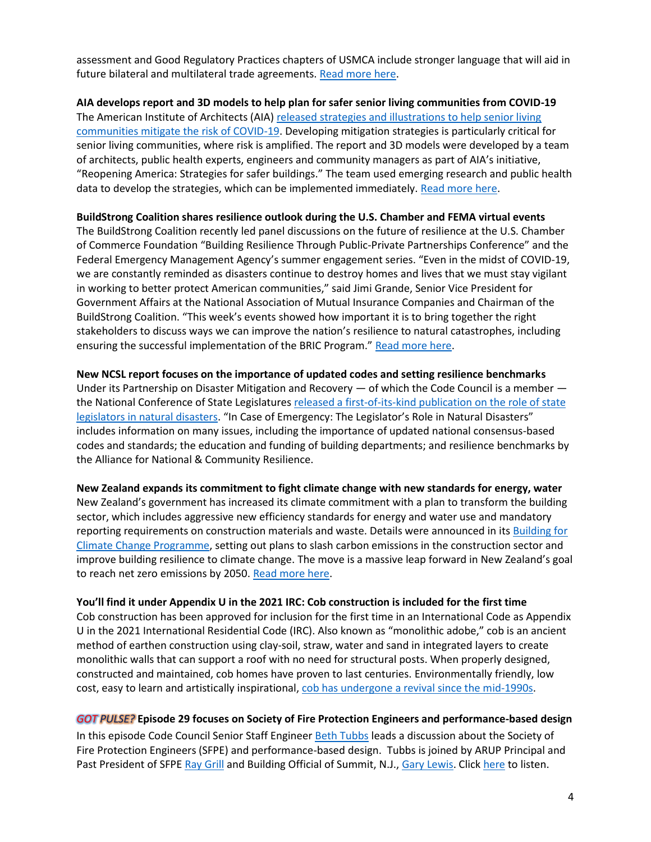assessment and Good Regulatory Practices chapters of USMCA include stronger language that will aid in future bilateral and multilateral trade agreements. [Read more here.](https://www.iccsafe.org/building-safety-journal/bsj-hits/icc-evaluation-service-applauds-united-states-mexico-canada-agreement/?utm_source=magnetmail&utm_medium=email&utm_content=200723%2Dbsj%2Df&utm_campaign=bsj)

**AIA develops report and 3D models to help plan for safer senior living communities from COVID-19** The American Institute of Architects (AIA) [released strategies and illustrations to help senior living](https://protect-us.mimecast.com/s/oNabCv2kNOU2L6LFXBVX4k?domain=send.iccsafe.org)  [communities mitigate the risk of COVID-19.](https://protect-us.mimecast.com/s/oNabCv2kNOU2L6LFXBVX4k?domain=send.iccsafe.org) Developing mitigation strategies is particularly critical for senior living communities, where risk is amplified. The report and 3D models were developed by a team of architects, public health experts, engineers and community managers as part of AIA's initiative, "Reopening America: Strategies for safer buildings." The team used emerging research and public health data to develop the strategies, which can be implemented immediately. [Read more here.](https://www.aia.org/resources/6299247-reopening-america-strategies-for-safer-bui?editing=true&tools=true)

#### **BuildStrong Coalition shares resilience outlook during the U.S. Chamber and FEMA virtual events**

The BuildStrong Coalition recently led panel discussions on the future of resilience at the U.S. Chamber of Commerce Foundation "Building Resilience Through Public-Private Partnerships Conference" and the Federal Emergency Management Agency's summer engagement series. "Even in the midst of COVID-19, we are constantly reminded as disasters continue to destroy homes and lives that we must stay vigilant in working to better protect American communities," said Jimi Grande, Senior Vice President for Government Affairs at the National Association of Mutual Insurance Companies and Chairman of the BuildStrong Coalition. "This week's events showed how important it is to bring together the right stakeholders to discuss ways we can improve the nation's resilience to natural catastrophes, including ensuring the successful implementation of the BRIC Program." [Read more here.](https://buildstrongamerica.com/wp-content/uploads/sites/3/2020/07/07-17-20-BuildStrong-Press-Release.pdf)

**New NCSL report focuses on the importance of updated codes and setting resilience benchmarks** Under its Partnership on Disaster Mitigation and Recovery — of which the Code Council is a member the National Conference of State Legislature[s released a first-of-its-kind publication on the role of state](https://protect-us.mimecast.com/s/dvT5CG6EDGSOKDoH7jcTNK?domain=send.iccsafe.org)  [legislators in natural disasters.](https://protect-us.mimecast.com/s/dvT5CG6EDGSOKDoH7jcTNK?domain=send.iccsafe.org) "In Case of Emergency: The Legislator's Role in Natural Disasters" includes information on many issues, including the importance of updated national consensus-based codes and standards; the education and funding of building departments; and resilience benchmarks by the Alliance for National & Community Resilience.

#### **New Zealand expands its commitment to fight climate change with new standards for energy, water**

New Zealand's government has increased its climate commitment with a plan to transform the building sector, which includes aggressive new efficiency standards for energy and water use and mandatory reporting requirements on construction materials and waste. Details were announced in its Building for [Climate Change Programme,](https://www.mbie.govt.nz/building-and-energy/building/building-for-climate-change/) setting out plans to slash carbon emissions in the construction sector and improve building resilience to climate change. The move is a massive leap forward in New Zealand's goal to reach net zero emissions by 2050. [Read more here.](https://www.thefifthestate.com.au/business/government/new-zealand-unveils-revolutionary-green-building-program-to-fight-climate-change/)

#### **You'll find it under Appendix U in the 2021 IRC: Cob construction is included for the first time**

Cob construction has been approved for inclusion for the first time in an International Code as Appendix U in the 2021 International Residential Code (IRC). Also known as "monolithic adobe," cob is an ancient method of earthen construction using clay-soil, straw, water and sand in integrated layers to create monolithic walls that can support a roof with no need for structural posts. When properly designed, constructed and maintained, cob homes have proven to last centuries. Environmentally friendly, low cost, easy to learn and artistically inspirational, [cob has undergone a revival since the mid-1990s.](https://www.iccsafe.org/building-safety-journal/bsj-technical/cob-code-appendix-approved-for-the-2021-irc/?utm_source=magnetmail&utm_medium=email&utm_content=200806%2Dbsj%2Dp1&utm_campaign=bsj)

#### *GOT PULSE?* **Episode 29 focuses on Society of Fire Protection Engineers and performance-based design**

In this episode Code Council Senior Staff Engineer [Beth Tubbs](https://www.iccsafe.org/expert/beth-tubbs/) leads a discussion about the Society of Fire Protection Engineers (SFPE) and performance-based design. Tubbs is joined by ARUP Principal and Past President of SFPE [Ray Grill](https://www.iccsafe.org/wp-content/uploads/Grill-Bio-2020.doc) and Building Official of Summit, N.J., [Gary Lewis.](https://www.iccsafe.org/wp-content/uploads/Gary-Lewis-Bio.docx) Click [here](https://iccpulsepodcast.libsyn.com/episode-29-sfpe-performance-based-design) to listen.